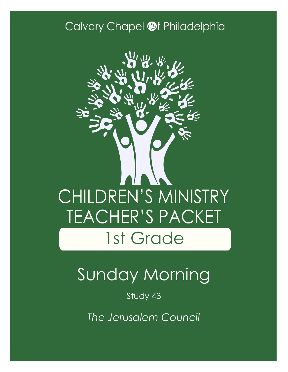### Calvary Chapel @f Philadelphia



# Sunday Morning

Study 43

*The Jerusalem Council*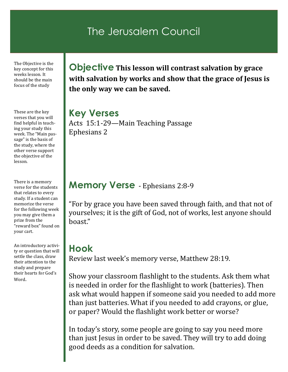### The Jerusalem Council

The Objective is the key concept for this weeks lesson. It should be the main focus of the study

These are the key verses that you will find helpful in teaching your study this week. The "Main passage" is the basis of the study, where the other verse support the objective of the lesson.

There is a memory verse for the students that relates to every study. If a student can memorize the verse for the following week you may give them a prize from the "reward box" found on your cart.

An introductory activity or question that will settle the class, draw their attention to the study and prepare their hearts for God's Word.

**Objective This lesson will contrast salvation by grace with salvation by works and show that the grace of Jesus is the only way we can be saved.**

**Key Verses** Acts 15:1-29—Main Teaching Passage Ephesians 2

#### **Memory Verse** - Ephesians 2:8-9

"For by grace you have been saved through faith, and that not of yourselves; it is the gift of God, not of works, lest anyone should boast."

### **Hook**

Review last week's memory verse, Matthew 28:19.

Show your classroom flashlight to the students. Ask them what is needed in order for the flashlight to work (batteries). Then ask what would happen if someone said you needed to add more than just batteries. What if you needed to add crayons, or glue, or paper? Would the flashlight work better or worse?

In today's story, some people are going to say you need more than just Jesus in order to be saved. They will try to add doing good deeds as a condition for salvation.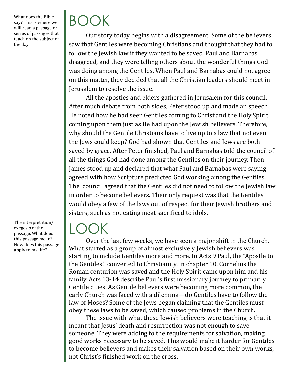What does the Bible say? This is where we will read a passage or series of passages that teach on the subject of the day.

The interpretation/ exegesis of the passage. What does this passage mean? How does this passage apply to my life?

# BOOK

Our story today begins with a disagreement. Some of the believers saw that Gentiles were becoming Christians and thought that they had to follow the Jewish law if they wanted to be saved. Paul and Barnabas disagreed, and they were telling others about the wonderful things God was doing among the Gentiles. When Paul and Barnabas could not agree on this matter, they decided that all the Christian leaders should meet in Jerusalem to resolve the issue.

All the apostles and elders gathered in Jerusalem for this council. After much debate from both sides, Peter stood up and made an speech. He noted how he had seen Gentiles coming to Christ and the Holy Spirit coming upon them just as He had upon the Jewish believers. Therefore, why should the Gentile Christians have to live up to a law that not even the Jews could keep? God had shown that Gentiles and Jews are both saved by grace. After Peter finished, Paul and Barnabas told the council of all the things God had done among the Gentiles on their journey. Then James stood up and declared that what Paul and Barnabas were saying agreed with how Scripture predicted God working among the Gentiles. The council agreed that the Gentiles did not need to follow the Jewish law in order to become believers. Their only request was that the Gentiles would obey a few of the laws out of respect for their Jewish brothers and sisters, such as not eating meat sacrificed to idols.

## LOOK

Over the last few weeks, we have seen a major shift in the Church. What started as a group of almost exclusively Jewish believers was starting to include Gentiles more and more. In Acts 9 Paul, the "Apostle to the Gentiles," converted to Christianity. In chapter 10, Cornelius the Roman centurion was saved and the Holy Spirit came upon him and his family. Acts 13-14 describe Paul's first missionary journey to primarily Gentile cities. As Gentile believers were becoming more common, the early Church was faced with a dilemma—do Gentiles have to follow the law of Moses? Some of the Jews began claiming that the Gentiles must obey these laws to be saved, which caused problems in the Church.

The issue with what these Jewish believers were teaching is that it meant that Jesus' death and resurrection was not enough to save someone. They were adding to the requirements for salvation, making good works necessary to be saved. This would make it harder for Gentiles to become believers and makes their salvation based on their own works, not Christ's finished work on the cross.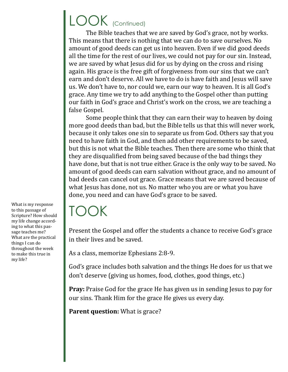# LOOK (Continued)

The Bible teaches that we are saved by God's grace, not by works. This means that there is nothing that we can do to save ourselves. No amount of good deeds can get us into heaven. Even if we did good deeds all the time for the rest of our lives, we could not pay for our sin. Instead, we are saved by what Jesus did for us by dying on the cross and rising again. His grace is the free gift of forgiveness from our sins that we can't earn and don't deserve. All we have to do is have faith and Jesus will save us. We don't have to, nor could we, earn our way to heaven. It is all God's grace. Any time we try to add anything to the Gospel other than putting our faith in God's grace and Christ's work on the cross, we are teaching a false Gospel.

Some people think that they can earn their way to heaven by doing more good deeds than bad, but the Bible tells us that this will never work, because it only takes one sin to separate us from God. Others say that you need to have faith in God, and then add other requirements to be saved, but this is not what the Bible teaches. Then there are some who think that they are disqualified from being saved because of the bad things they have done, but that is not true either. Grace is the only way to be saved. No amount of good deeds can earn salvation without grace, and no amount of bad deeds can cancel out grace. Grace means that we are saved because of what Jesus has done, not us. No matter who you are or what you have done, you need and can have God's grace to be saved.

## TOOK

Present the Gospel and offer the students a chance to receive God's grace in their lives and be saved.

As a class, memorize Ephesians 2:8-9.

God's grace includes both salvation and the things He does for us that we don't deserve (giving us homes, food, clothes, good things, etc.)

**Pray:** Praise God for the grace He has given us in sending Jesus to pay for our sins. Thank Him for the grace He gives us every day.

**Parent question:** What is grace?

What is my response to this passage of Scripture? How should my life change according to what this passage teaches me? What are the practical things I can do throughout the week to make this true in my life?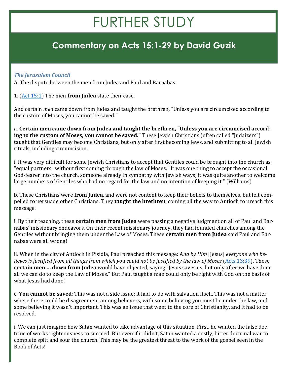# FURTHER STUDY

### **Commentary on Acts 15:1-29 by David Guzik**

#### *The Jerusalem Council*

A. The dispute between the men from Judea and Paul and Barnabas.

1. [\(Act 15:1\)](https://www.blueletterbible.org/kjv/acts/15/1/s_1033001) The men **from Judea** state their case.

And certain *men* came down from Judea and taught the brethren, "Unless you are circumcised according to the custom of Moses, you cannot be saved."

a. **Certain men came down from Judea and taught the brethren, "Unless you are circumcised according to the custom of Moses, you cannot be saved."** These Jewish Christians (often called "Judaizers") taught that Gentiles may become Christians, but only after first becoming Jews, and submitting to all Jewish rituals, including circumcision.

i. It was very difficult for some Jewish Christians to accept that Gentiles could be brought into the church as "equal partners" without first coming through the law of Moses. "It was one thing to accept the occasional God-fearer into the church, someone already in sympathy with Jewish ways; it was quite another to welcome large numbers of Gentiles who had no regard for the law and no intention of keeping it." (Williams)

b. These Christians were **from Judea**, and were not content to keep their beliefs to themselves, but felt compelled to persuade other Christians. They **taught the brethren**, coming all the way to Antioch to preach this message.

i. By their teaching, these **certain men from Judea** were passing a negative judgment on all of Paul and Barnabas' missionary endeavors. On their recent missionary journey, they had founded churches among the Gentiles without bringing them under the Law of Moses. These **certain men from Judea** said Paul and Barnabas were all wrong!

ii. When in the city of Antioch in Pisidia, Paul preached this message: A*nd by Him* [Jesus] *everyone who believes is justified from all things from which you could not be justified by the law of Moses* (*Acts* 13:39). These **certain men … down from Judea** would have objected, saying "Jesus saves us, but only after we have done all we can do to keep the Law of Moses." But Paul taught a man could only be right with God on the basis of what Jesus had done!

c. **You cannot be saved**: This was not a side issue; it had to do with salvation itself. This was not a matter where there could be disagreement among believers, with some believing you must be under the law, and some believing it wasn't important. This was an issue that went to the core of Christianity, and it had to be resolved.

i. We can just imagine how Satan wanted to take advantage of this situation. First, he wanted the false doctrine of works righteousness to succeed. But even if it didn't, Satan wanted a costly, bitter doctrinal war to complete split and sour the church. This may be the greatest threat to the work of the gospel seen in the Book of Acts!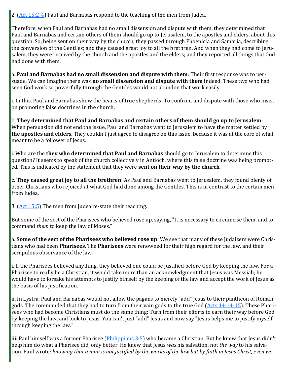2.  $(Act 15:2-4)$  $(Act 15:2-4)$  $(Act 15:2-4)$  Paul and Barnabas respond to the teaching of the men from Judea.

Therefore, when Paul and Barnabas had no small dissension and dispute with them, they determined that Paul and Barnabas and certain others of them should go up to Jerusalem, to the apostles and elders, about this question. So, being sent on their way by the church, they passed through Phoenicia and Samaria, describing the conversion of the Gentiles; and they caused great joy to all the brethren. And when they had come to Jerusalem, they were received by the church and the apostles and the elders; and they reported all things that God had done with them.

a. **Paul and Barnabas had no small dissension and dispute with them**: Their first response was to persuade. We can imagine there was **no small dissension and dispute with them** indeed. These two who had seen God work so powerfully through the Gentiles would not abandon that work easily.

i. In this, Paul and Barnabas show the hearts of true shepherds: To confront and dispute with those who insist on promoting false doctrines in the church.

b. **They determined that Paul and Barnabas and certain others of them should go up to Jerusalem**: When persuasion did not end the issue, Paul and Barnabas went to Jerusalem to have the matter settled by **the apostles and elders**. They couldn't just agree to disagree on this issue, because it was at the core of what meant to be a follower of Jesus.

i. Who are the **they who determined that Paul and Barnabas** should go to Jerusalem to determine this question? It seems to speak of the church collectively in Antioch, where this false doctrine was being promoted. This is indicated by the statement that they were **sent on their way by the church**.

c. **They caused great joy to all the brethren**: As Paul and Barnabas went to Jerusalem, they found plenty of other Christians who rejoiced at what God had done among the Gentiles. This is in contrast to the certain men from Judea.

3.  $(Act 15:5)$  The men from Judea re-state their teaching.

But some of the sect of the Pharisees who believed rose up, saying, "It is necessary to circumcise them, and to command *them* to keep the law of Moses."

a. **Some of the sect of the Pharisees who believed rose up**: We see that many of these Judaizers were Christians who had been **Pharisees**. The **Pharisees** were renowned for their high regard for the law, and their scrupulous observance of the law.

i. If the Pharisees believed anything, they believed one could be justified before God by keeping the law. For a Pharisee to really be a Christian, it would take more than an acknowledgment that Jesus was Messiah; he would have to forsake his attempts to justify himself by the keeping of the law and accept the work of Jesus as the basis of his justification.

ii. In Lystra, Paul and Barnabas would not allow the pagans to merely "add" Jesus to their pantheon of Roman gods. The commanded that they had to turn from their vain gods to the true God ([Acts 14:14](https://www.blueletterbible.org/kjv/acts/14/14-15/s_1032014)-15). These Pharisees who had become Christians must do the same thing: Turn from their efforts to earn their way before God by keeping the law, and look to Jesus. You can't just "add" Jesus and now say "Jesus helps me to justify myself through keeping the law."

iii. Paul himself was a former Pharisee (*Philippians 3:5*) who became a Christian. But he knew that Jesus didn't help him do what a Pharisee did, only better. He knew that Jesus *was* his salvation, not *the way* to his salvation. Paul wrote: *knowing that a man is not justified by the works of the law but by faith in Jesus Christ, even we*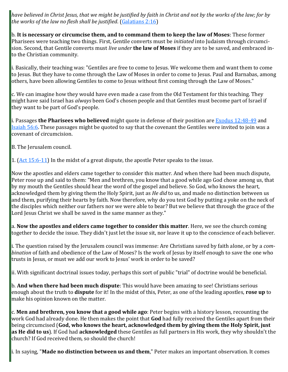*have believed in Christ Jesus, that we might be justified by faith in Christ and not by the works of the law; for by the works of the law no flesh shall be justified*. [\(Galatians 2:16\)](https://www.blueletterbible.org/kjv/galatians/2/16/s_1093016)

b. **It is necessary or circumcise them, and to command them to keep the law of Moses**: These former Pharisees were teaching two things. First, Gentile converts must be *initiated* into Judaism through circumcision. Second, that Gentile converts must *live under* **the law of Moses** if they are to be saved, and embraced into the Christian community.

i. Basically, their teaching was: "Gentiles are free to come to Jesus. We welcome them and want them to come to Jesus. But they have to come through the Law of Moses in order to come to Jesus. Paul and Barnabas, among others, have been allowing Gentiles to come to Jesus without first coming through the Law of Moses."

c. We can imagine how they would have even made a case from the Old Testament for this teaching. They might have said Israel has *always* been God's chosen people and that Gentiles must become part of Israel if they want to be part of God's people.

i. Passages **the Pharisees who believed** might quote in defense of their position are [Exodus 12:48](https://www.blueletterbible.org/kjv/exodus/12/48-49/s_62048)-49 and [Isaiah 56:6.](https://www.blueletterbible.org/kjv/isaiah/56/6/s_735006) These passages might be quoted to say that the covenant the Gentiles were invited to join was a covenant of circumcision.

B. The Jerusalem council.

1.  $(Act\ 15:6-11)$  In the midst of a great dispute, the apostle Peter speaks to the issue.

Now the apostles and elders came together to consider this matter. And when there had been much dispute, Peter rose up and said to them: "Men and brethren, you know that a good while ago God chose among us, that by my mouth the Gentiles should hear the word of the gospel and believe. So God, who knows the heart, acknowledged them by giving them the Holy Spirit, just as *He did* to us, and made no distinction between us and them, purifying their hearts by faith. Now therefore, why do you test God by putting a yoke on the neck of the disciples which neither our fathers nor we were able to bear? But we believe that through the grace of the Lord Jesus Christ we shall be saved in the same manner as they."

a. **Now the apostles and elders came together to consider this matter**. Here, we see the church coming together to decide the issue. They didn't just let the issue sit, nor leave it up to the conscience of each believer.

i. The question raised by the Jerusalem council was immense: Are Christians saved by faith alone, or by a *combination* of faith and obedience of the Law of Moses? Is the work of Jesus by itself enough to save the one who trusts in Jesus, or must we add our work to Jesus' work in order to be saved?

ii. With significant doctrinal issues today, perhaps this sort of public "trial" of doctrine would be beneficial.

b. **And when there had been much dispute**: This would have been amazing to see! Christians serious enough about the truth to **dispute** for it! In the midst of this, Peter, as one of the leading apostles, **rose up** to make his opinion known on the matter.

c. **Men and brethren, you know that a good while ago**: Peter begins with a history lesson, recounting the work God had already done. He then makes the point that **God** had fully received the Gentiles apart from their being circumcised (**God, who knows the heart, acknowledged them by giving them the Holy Spirit, just as He did to us**). If God had **acknowledged** these Gentiles as full partners in His work, they why shouldn't the church? If God received them, so should the church!

i. In saying, "**Made no distinction between us and them**," Peter makes an important observation. It comes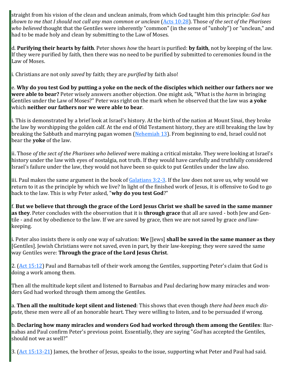straight from his vision of the clean and unclean animals, from which God taught him this principle: *God has shown to me that I should not call any man common or unclean* [\(Acts 10:28\)](https://www.blueletterbible.org/kjv/acts/10/28/s_1028028). Those *of the sect of the Pharisees who believed* thought that the Gentiles were inherently "common" (in the sense of "unholy") or "unclean," and had to be made holy and clean by submitting to the Law of Moses.

d. **Purifying their hearts by faith**. Peter shows *how* the heart is purified: **by faith**, not by keeping of the law. If they were purified by faith, then there was no need to be purified by submitted to ceremonies found in the Law of Moses.

i. Christians are not only *saved* by faith; they are *purified* by faith also!

e. **Why do you test God by putting a yoke on the neck of the disciples which neither our fathers nor we were able to bear?** Peter wisely answers another objection. One might ask, "What is the *harm* in bringing Gentiles under the Law of Moses?" Peter was right on the mark when he observed that the law was **a yoke** which **neither our fathers nor we were able to bear**.

i. This is demonstrated by a brief look at Israel's history. At the birth of the nation at Mount Sinai, they broke the law by worshipping the golden calf. At the end of Old Testament history, they are still breaking the law by breaking the Sabbath and marrying pagan women [\(Nehemiah 13\)](https://www.blueletterbible.org/kjv/nehemiah/13/1-31/s_426001). From beginning to end, Israel could not bear the **yoke** of the law.

ii. Those *of the sect of the Pharisees who believed* were making a critical mistake. They were looking at Israel's history under the law with eyes of nostalgia, not truth. If they would have carefully and truthfully considered Israel's failure under the law, they would not have been so quick to put Gentiles under the law also.

iii. Paul makes the same argument in the book of  $Galatians 3:2-3$  $Galatians 3:2-3$ . If the law does not save us, why would we return to it as the principle by which we live? In light of the finished work of Jesus, it is offensive to God to go back to the law. This is why Peter asked, "**why do you test God**?"

f. **But we believe that through the grace of the Lord Jesus Christ we shall be saved in the same manner as they**. Peter concludes with the observation that it is **through grace** that all are saved - both Jew and Gentile - and not by obedience to the law. If we are saved by grace, then we are not saved by grace *and* lawkeeping.

i. Peter also insists there is only one way of salvation: **We** [Jews] **shall be saved in the same manner as they** [Gentiles]. Jewish Christians were not saved, even in part, by their law-keeping; they were saved the same way Gentiles were: **Through the grace of the Lord Jesus Christ**.

2. ([Act 15:12\)](https://www.blueletterbible.org/kjv/acts/15/12/s_1033012) Paul and Barnabas tell of their work among the Gentiles, supporting Peter's claim that God is doing a work among them.

Then all the multitude kept silent and listened to Barnabas and Paul declaring how many miracles and wonders God had worked through them among the Gentiles.

a. **Then all the multitude kept silent and listened**: This shows that even though *there had been much dispute*, these men were all of an honorable heart. They were willing to listen, and to be persuaded if wrong.

b. **Declaring how many miracles and wonders God had worked through them among the Gentiles**: Barnabas and Paul confirm Peter's previous point. Essentially, they are saying "*God* has accepted the Gentiles, should not we as well?"

3. ([Act 15:13](https://www.blueletterbible.org/kjv/acts/15/13-21/s_1033013)-21) James, the brother of Jesus, speaks to the issue, supporting what Peter and Paul had said.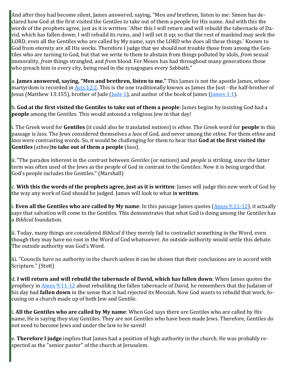And after they had become silent, James answered, saying, "Men *and* brethren, listen to me: Simon has declared how God at the first visited the Gentiles to take out of them a people for His name. And with this the words of the prophets agree, just as it is written: 'After this I will return and will rebuild the tabernacle of David, which has fallen down; I will rebuild its ruins, and I will set it up; so that the rest of mankind may seek the LORD, even all the Gentiles who are called by My name, says the LORD who does all these things.' Known to God from eternity are all His works. Therefore I judge that we should not trouble those from among the Gentiles who are turning to God, but that we write to them to abstain from things polluted by idols, *from* sexual immorality, *from* things strangled, and *from* blood. For Moses has had throughout many generations those who preach him in every city, being read in the synagogues every Sabbath."

a. **James answered, saying, "Men and brethren, listen to me."** This James is not the apostle James, whose martyrdom is recorded in [Acts 12:2.](https://www.blueletterbible.org/kjv/acts/12/2/s_1030002) This is the one traditionally known as James the Just - the half-brother of Jesus (Matthew 13:155), brother of Jude [\(Jude 1\),](https://www.blueletterbible.org/kjv/jude/1/1/s_1167001) and author of the book of James ([James 1:1\).](https://www.blueletterbible.org/kjv/james/1/1/s_1147001)

b. **God at the first visited the Gentiles to take out of them a people**: James begins by insisting God had a **people** among the Gentiles. This would astound a religious Jew in that day!

i. The Greek word for **Gentiles** (it could also be translated *nations*) is *ethne*. The Greek word for **people** in this passage is *laos*. The Jews considered themselves a *laos* of God, and never among the *ethne*. For them *ethne* and *laos* were contrasting words. So, it would be challenging for them to hear that **God at the first visited the Gentiles** (*ethne*)**to take out of them a people** (*laos*).

ii. "The paradox inherent in the contrast between *Gentiles* (or *nations*) and *people* is striking, since the latter term was often used of the Jews as the people of God in contrast to the Gentiles. Now it is being urged that God's people includes the Gentiles." (Marshall)

c. **With this the words of the prophets agree, just as it is written**: James will judge this new work of God by the way any work of God should be judged. James will look to what **is written**.

i. **Even all the Gentiles who are called by My name**: In this passage James quotes [\(Amos 9:11](https://www.blueletterbible.org/kjv/amos/9/11-12/s_888011)-12), it actually says that salvation will come to the Gentiles. This demonstrates that what God is doing among the Gentiles has a *Biblical* foundation.

ii. Today, many things are considered *Biblical* if they merely fail to contradict something in the Word, even though they may have no root in the Word of God whatsoever. An outside authority would settle this debate. The outside authority was God's Word.

iii. "Councils have no authority in the church unless it can be shown that their conclusions are in accord with Scripture." (Stott)

d. **I will return and will rebuild the tabernacle of David, which has fallen down**: When James quotes the prophecy in [Amos 9:11](https://www.blueletterbible.org/kjv/amos/9/11-12/s_888011)-12 about rebuilding the fallen tabernacle of David, he remembers that the Judaism of his day had **fallen down** in the sense that it had rejected its Messiah. Now God wants to rebuild that work, focusing on a church made up of both Jew and Gentile.

i. **All the Gentiles who are called by My name**: When God says there are Gentiles who are called by His name, He is saying they stay Gentiles. They are not Gentiles who have been made Jews. Therefore, Gentiles do not need to become Jews and under the law to be saved!

e. **Therefore I judge** implies that James had a position of high authority in the church. He was probably respected as the "senior pastor" of the church at Jerusalem.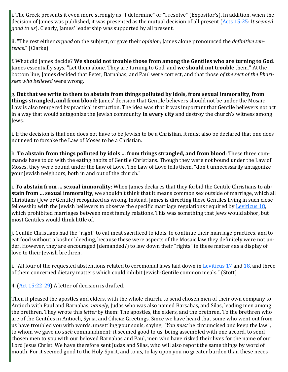i. The Greek presents it even more strongly as "I determine" or "I resolve" (Expositor's). In addition, when the decision of James was published, it was presented as the mutual decision of all present [\(Acts 15:25:](https://www.blueletterbible.org/kjv/acts/15/25/s_1033025) I*t seemed good to us*). Clearly, James' leadership was supported by all present.

ii. "The rest either *argued* on the subject, or gave their *opinion*; James alone pronounced the *definitive sentence*." (Clarke)

f. What did James decide? **We should not trouble those from among the Gentiles who are turning to God**. James essentially says, "Let them alone. They are turning to God, and **we should not trouble** them." At the bottom line, James decided that Peter, Barnabas, and Paul were correct, and that those *of the sect of the Pharisees who believed* were wrong.

g. **But that we write to them to abstain from things polluted by idols, from sexual immorality, from things strangled, and from blood**: James' decision that Gentile believers should not be under the Mosaic Law is also tempered by practical instruction. The idea was that it was important that Gentile believers not act in a way that would antagonize the Jewish community **in every city** and destroy the church's witness among lews.

i. If the decision is that one does not have to be Jewish to be a Christian, it must also be declared that one does not need to forsake the Law of Moses to be a Christian.

h. **To abstain from things polluted by idols … from things strangled, and from blood**: These three commands have to do with the eating habits of Gentile Christians. Though they were not bound under the Law of Moses, they were bound under the Law of Love. The Law of Love tells them, "don't unnecessarily antagonize your Jewish neighbors, both in and out of the church."

i. **To abstain from … sexual immorality**: When James declares that they forbid the Gentile Christians to **abstain from … sexual immorality**, we shouldn't think that it means common sex outside of marriage, which all Christians (Jew or Gentile) recognized as wrong. Instead, James is directing these Gentiles living in such close fellowship with the Jewish believers to observe the specific marriage regulations required by [Leviticus 18,](https://www.blueletterbible.org/kjv/leviticus/18/1-30/s_108001) which prohibited marriages between most family relations. This was something that Jews would abhor, but most Gentiles would think little of.

j. Gentile Christians had the "right" to eat meat sacrificed to idols, to continue their marriage practices, and to eat food without a kosher bleeding, because these were aspects of the Mosaic law they definitely were not under. However, they are encouraged (demanded?) to law down their "rights" in these matters as a display of love to their Jewish brethren.

i. "All four of the requested abstentions related to ceremonial laws laid down in [Leviticus 17](https://www.blueletterbible.org/kjv/leviticus/17/1-16/s_107001) and [18,](https://www.blueletterbible.org/kjv/leviticus/18/1-30/s_108001) and three of them concerned dietary matters which could inhibit Jewish-Gentile common meals." (Stott)

4.  $(Act 15:22-29)$  $(Act 15:22-29)$  $(Act 15:22-29)$  A letter of decision is drafted.

Then it pleased the apostles and elders, with the whole church, to send chosen men of their own company to Antioch with Paul and Barnabas, *namely,* Judas who was also named Barsabas, and Silas, leading men among the brethren. They wrote this *letter* by them: The apostles, the elders, and the brethren, To the brethren who are of the Gentiles in Antioch, Syria, and Cilicia: Greetings. Since we have heard that some who went out from us have troubled you with words, unsettling your souls, saying, *"You must* be circumcised and keep the law"; to whom we gave no *such* commandment; it seemed good to us, being assembled with one accord, to send chosen men to you with our beloved Barnabas and Paul, men who have risked their lives for the name of our Lord Jesus Christ. We have therefore sent Judas and Silas, who will also report the same things by word of mouth. For it seemed good to the Holy Spirit, and to us, to lay upon you no greater burden than these neces-